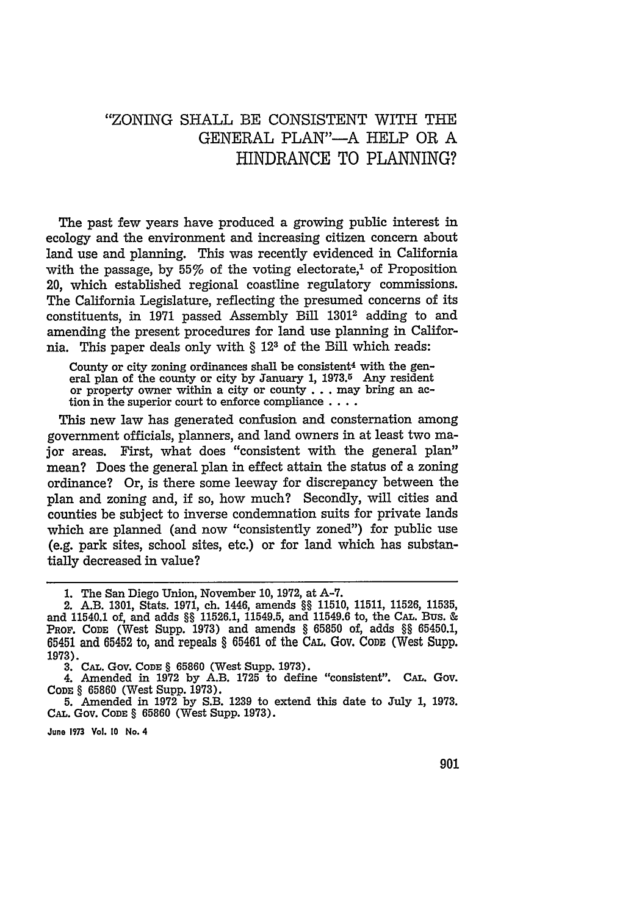## "ZONING SHALL BE CONSISTENT WITH THE GENERAL PLAN"-A HELP OR A HINDRANCE TO **PLANNING?**

The past few years have produced a growing public interest in ecology and the environment and increasing citizen concern about land use and planning. This was recently evidenced in California with the passage, by  $55\%$  of the voting electorate,<sup>1</sup> of Proposition 20, which established regional coastline regulatory commissions. The California Legislature, reflecting the presumed concerns of its constituents, in 1971 passed Assembly Bill 13012 adding to and amending the present procedures for land use planning in California. This paper deals only with § **123** of the Bill which reads:

County or city zoning ordinances shall be consistent<sup>4</sup> with the general plan of the county or city **by** January **1, 1973.5** Any resident or property owner within a city or county **. . .** may bring an action in the superior court to enforce compliance **....**

This new law has generated confusion and consternation among government officials, planners, and land owners in at least two major areas. First, what does "consistent with the general plan" mean? Does the general plan in effect attain the status of a zoning ordinance? Or, is there some leeway for discrepancy between the plan and zoning and, if so, how much? Secondly, will cities and counties be subject to inverse condemnation suits for private lands which are planned (and now "consistently zoned") for public use (e.g. park sites, school sites, etc.) or for land which has substantially decreased in value?

**3. CAL. GoV. CODE** § **65860** (West Supp. **1973).**

4. Amended in **1972 by** A.B. **1725** to define "consistent". **CAL.** Gov. **CODE** § **65860** (West Supp. **1973).**

**5.** Amended in **1972 by** S.B. **1239** to extend this date to July **1, 1973. CAL.** Gov. **CODE** § **65860** (West Supp. **1973).**

**June 1973 Vol. 10 No.** 4

**<sup>1.</sup>** The San Diego Union, November **10, 1972,** at **A-7.**

<sup>2.</sup> A.B. **1301,** Stats. **1971,** ch. 1446, amends §§ **11510, 11511, 11526, 11535,** and 11540.1 of, and adds §§ **11526.1,** 11549.5, and 11549.6 to, the CAL. Bus. & PROF. **CODE** (West Supp. **1973)** and amends § **65850** of, adds §§ **65450.1, 65451** and **65452** to, and repeals § **65461** of the CAL. Gov. **CODE** (West Supp. **1973).**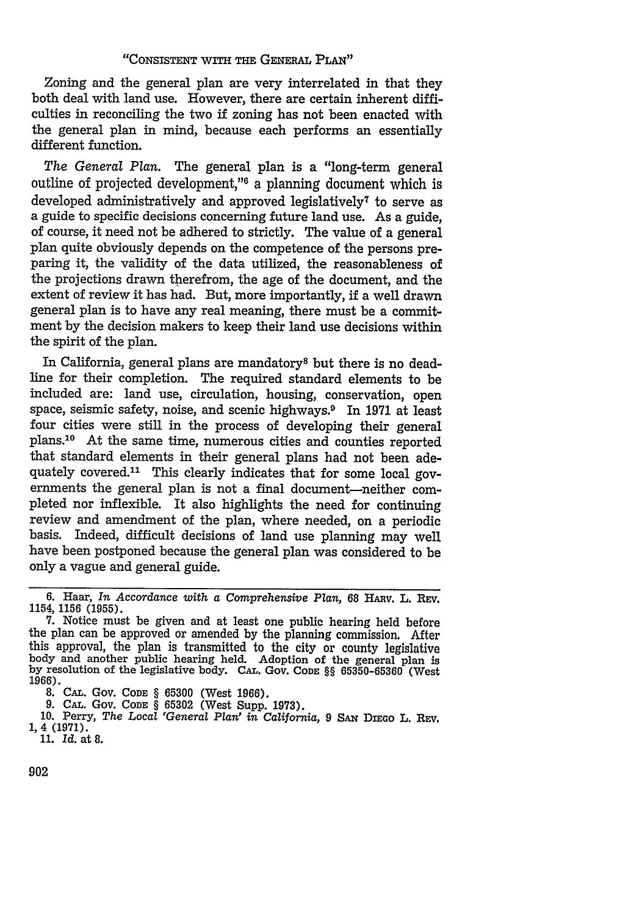## "CONSISTENT **WITH** THE **GENERAL** PLAN"

Zoning and the general plan are very interrelated in that they both deal with land use. However, there are certain inherent difficulties in reconciling the two if zoning has not been enacted with the general plan in mind, because each performs an essentially different function.

The General Plan. The general plan is a "long-term general outline of projected development,"6 a planning document which is developed administratively and approved legislatively<sup>7</sup> to serve as a guide to specific decisions concerning future land use. As a guide, of course, it need not be adhered to strictly. The value of a general plan quite obviously depends on the competence of the persons preparing it, the validity of the data utilized, the reasonableness of the projections drawn therefrom, the age of the document, and the extent of review it has had. But, more importantly, if a well drawn general plan is to have any real meaning, there must be a commitment by the decision makers to keep their land use decisions within the spirit of the plan.

In California, general plans are mandatory<sup>8</sup> but there is no deadline for their completion. The required standard elements to be included are: land use, circulation, housing, conservation, open space, seismic safety, noise, and scenic highways.<sup>9</sup> In 1971 at least four cities were still in the process of developing their general plans.<sup>10</sup> At the same time, numerous cities and counties reported that standard elements in their general plans had not been adequately covered.<sup>11</sup> This clearly indicates that for some local governments the general plan is not a final document-neither completed nor inflexible. It also highlights the need for continuing review and amendment of the plan, where needed, on a periodic basis. Indeed, difficult decisions of land use planning may well have been postponed because the general plan was considered to be only a vague and general guide.

<sup>6.</sup> Haar, *In Accordance with a Comprehensive Plan,* 68 HARv. L. **REv.** 1154, 1156 (1955).

**<sup>7.</sup>** Notice must be given and at least one public hearing held before the plan can be approved or amended by the planning commission. After this approval, the plan is transmitted to the city or county legislative body and another public hearing held. Adoption of the general plan is by resolution of the legislative body. CAL. Gov. CODE §§ 65350-65360 (West 1966

<sup>1966).</sup> 8. CAL. Gov. CODE § 65300 (West 1966).

<sup>9.</sup> **CAL.** Gov. **CODE** § 65302 (West Supp. 1973). 10. Perry, *The Local 'General Plan' in California,* 9 **SAx** DiEcO L. Rv. 1, 4 (1971) 11. *Id.* at 8.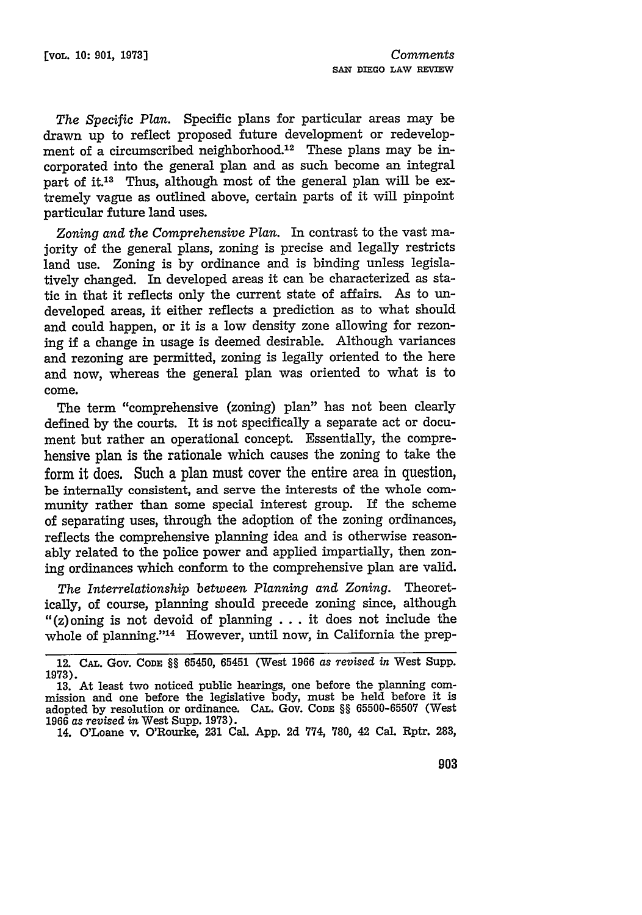*The Specific Plan.* Specific plans for particular areas may be drawn up to reflect proposed future development or redevelopment of a circumscribed neighborhood.<sup>12</sup> These plans may be incorporated into the general plan and as such become an integral part of it.<sup>13</sup> Thus, although most of the general plan will be extremely vague as outlined above, certain parts of it will pinpoint particular future land uses.

*Zoning and the Comprehensive Plan.* In contrast to the vast majority of the general plans, zoning is precise and legally restricts land use. Zoning is by ordinance and is binding unless legislatively changed. In developed areas it can be characterized as static in that it reflects only the current state of affairs. As to undeveloped areas, it either reflects a prediction as to what should and could happen, or it is a low density zone allowing for rezoning if a change in usage is deemed desirable. Although variances and rezoning are permitted, zoning is legally oriented to the here and now, whereas the general plan was oriented to what is to come.

The term "comprehensive (zoning) plan" has not been clearly defined by the courts. It is not specifically a separate act or document but rather an operational concept. Essentially, the comprehensive plan is the rationale which causes the zoning to take the form it does. Such a plan must cover the entire area in question, be internally consistent, and serve the interests of the whole community rather than some special interest group. If the scheme of separating uses, through the adoption of the zoning ordinances, reflects the comprehensive planning idea and is otherwise reasonably related to the police power and applied impartially, then zoning ordinances which conform to the comprehensive plan are valid.

*The Interrelationship between Planning and Zoning.* Theoretically, of course, planning should precede zoning since, although " $(z)$ oning is not devoid of planning ... it does not include the whole of planning."<sup>14</sup> However, until now, in California the prep-

<sup>12.</sup> **CAL.** Gov. **CODE** §§ 65450, **65451** (West **1966** *as revised in* West Supp. **1973).**

**<sup>13.</sup>** At least two noticed public hearings, one before the planning commission and one before the legislative body, must be held before it is adopted by resolution or ordinance. CAL. Gov. CODE §§ 65500-65507 (West 1966 *as revised in* West Supp. 1973).

<sup>14.</sup> O'Loane v. O'Rourke, **231** Cal. App. 2d 774, 780, 42 Cal. Rptr. 283,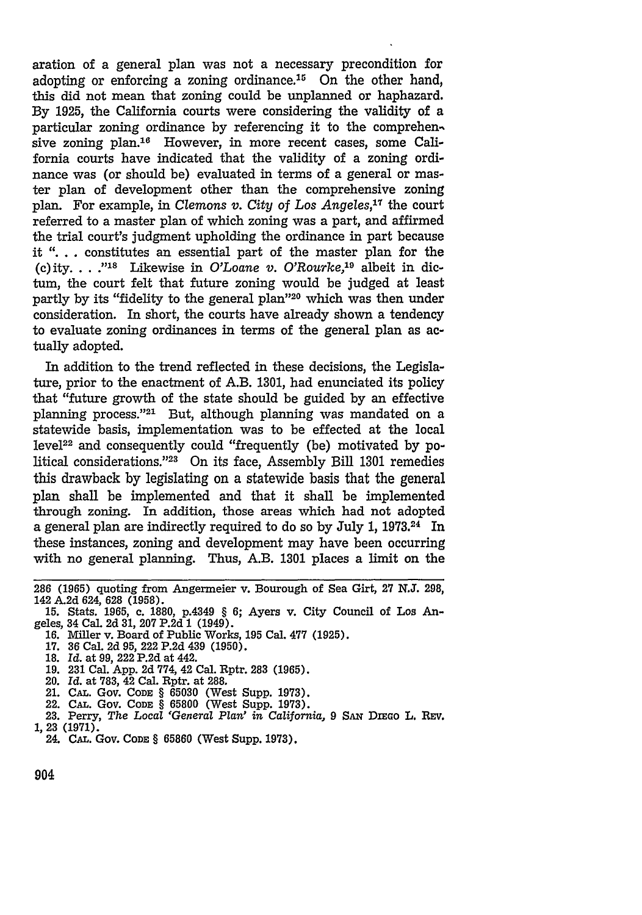aration of a general plan was not a necessary precondition for adopting or enforcing a zoning ordinance.<sup>15</sup> On the other hand, this did not mean that zoning could be unplanned or haphazard. By 1925, the California courts were considering the validity of a particular zoning ordinance by referencing it to the comprehensive zoning plan.<sup>16</sup> However, in more recent cases, some California courts have indicated that the validity of a zoning ordinance was (or should be) evaluated in terms of a general or master plan of development other than the comprehensive zoning plan. For example, in *Clemons v. City of Los Angeles,17* the court referred to a master plan of which zoning was a part, and affirmed the trial court's judgment upholding the ordinance in part because it **".** . . constitutes an essential part of the master plan for the (c)ity. **.. ."18** Likewise in *O'Loane v. O'Rourke,19* albeit in dictum, the court felt that future zoning would be judged at least partly by its "fidelity to the general plan"20 which was then under consideration. In short, the courts have already shown a tendency to evaluate zoning ordinances in terms of the general plan as actually adopted.

In addition to the trend reflected in these decisions, the Legislature, prior to the enactment of A.B. 1301, had enunciated its policy that "future growth of the state should be guided by an effective planning process."<sup>21</sup> But, although planning was mandated on a statewide basis, implementation was to be effected at the local level<sup>22</sup> and consequently could "frequently (be) motivated by political considerations."<sup>23</sup> On its face, Assembly Bill 1301 remedies this drawback by legislating on a statewide basis that the general plan shall be implemented and that it shall be implemented through zoning. In addition, those areas which had not adopted a general plan are indirectly required to do so by July 1, **1973.24** In these instances, zoning and development may have been occurring with no general planning. Thus, A.B. 1301 places a limit on the

- 16. Miller v. Board of Public Works, **195** Cal. **477** (1925).
- 17. 36 Cal. 2d 95, 222 P.2d 439 (1950).
- 18. *Id.* at 99, 222 P.2d at 442.
- **19. 231** Cal. App. 2d 774, 42 Cal. Rptr. 283 (1965).
- 20. *Id.* at 783, 42 Cal. Rptr. at 288.
- 21. **CAL.** Gov. **CODE** § 65030 (West Supp. 1973).
- 22. **CAL.** Gov. CODE § 65800 (West Supp. 1973).
- 23. Perry, *The Local 'General Plan' in California,* <sup>9</sup>**SAN** Disao L. REv. 1, 23 (1971).
- 24. **CAL.** Gov. **CODE** § **65860** (West Supp. **1973).**

<sup>286 (1965)</sup> quoting from Angermeier v. Bourough of Sea Girt, **27** N.J. 298,

<sup>15.</sup> Stats. 1965, c. 1880, p.4349 § 6; Ayers v. City Council of Los Angeles, 34 Cal. 2d **31,** 207 P.2d 1 (1949).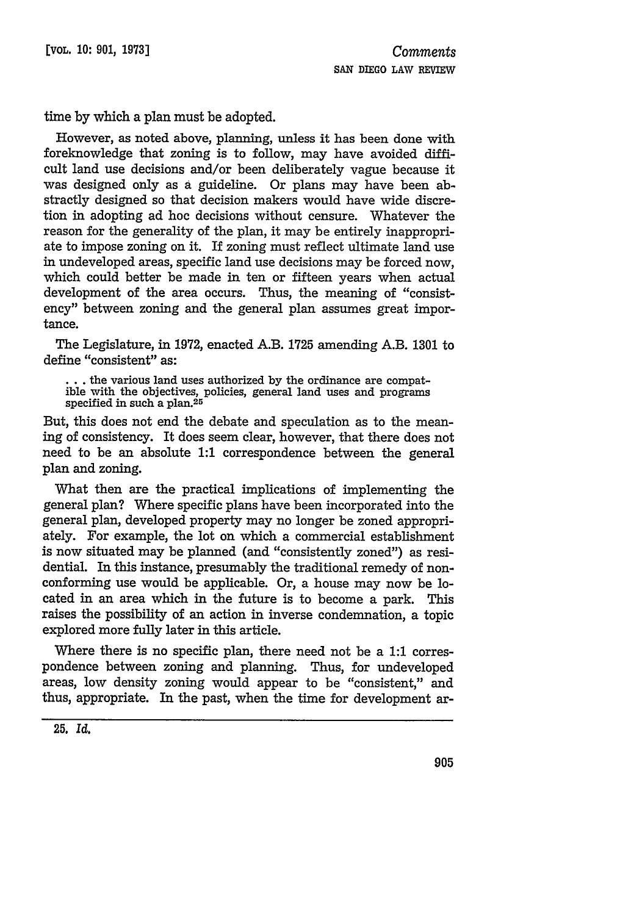time by which a plan must be adopted.

However, as noted above, planning, unless it has been done with foreknowledge that zoning is to follow, may have avoided difficult land use decisions and/or been deliberately vague because it was designed only as a guideline. Or plans may have been abstractly designed so that decision makers would have wide discretion in adopting ad hoc decisions without censure. Whatever the reason for the generality of the plan, it may be entirely inappropriate to impose zoning on it. If zoning must reflect ultimate land use in undeveloped areas, specific land use decisions may be forced now, which could better be made in ten or fifteen years when actual development of the area occurs. Thus, the meaning of "consistency" between zoning and the general plan assumes great importance.

The Legislature, in 1972, enacted A.B. **1725** amending A.B. 1301 to define "consistent" as:

... the various land uses authorized by the ordinance are compat-<br>ible with the objectives, policies, general land uses and programs<br>specified in such a plan.<sup>25</sup>

But, this does not end the debate and speculation as to the meaning of consistency. It does seem clear, however, that there does not need to be an absolute **1:1** correspondence between the general plan and zoning.

What then are the practical implications of implementing the general plan? Where specific plans have been incorporated into the general plan, developed property may no longer be zoned appropriately. For example, the lot on which a commercial establishment is now situated may be planned (and "consistently zoned") as residential. In this instance, presumably the traditional remedy of nonconforming use would be applicable. Or, a house may now be located in an area which in the future is to become a park. This raises the possibility of an action in inverse condemnation, a topic explored more fully later in this article.

Where there is no specific plan, there need not be a **1:1** correspondence between zoning and planning. Thus, for undeveloped areas, low density zoning would appear to be "consistent," and thus, appropriate. In the past, when the time for development ar-

**<sup>25.</sup>** *Id.*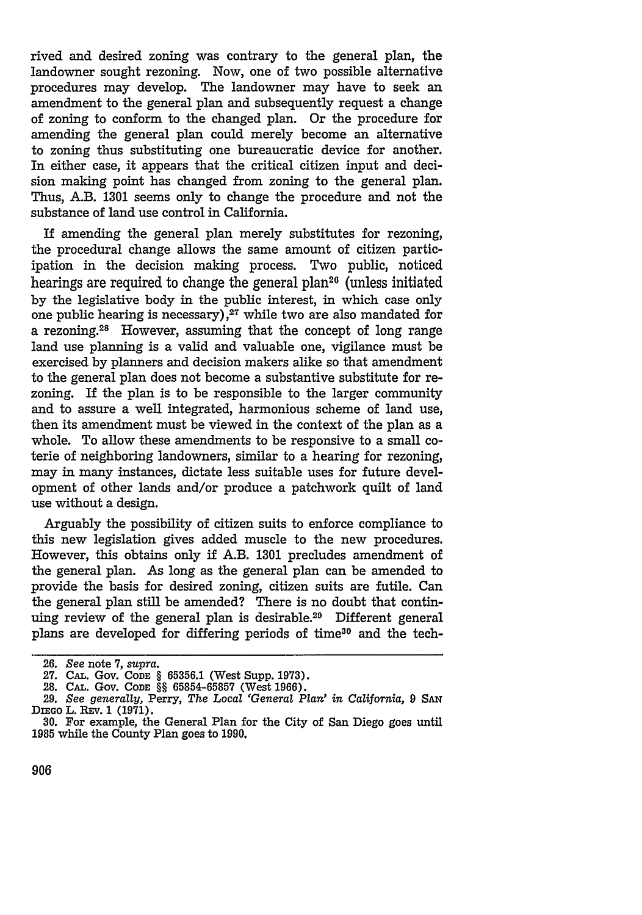rived and desired zoning was contrary to the general plan, the landowner sought rezoning. Now, one of two possible alternative procedures may develop. The landowner may have to seek an amendment to the general plan and subsequently request a change of zoning to conform to the changed plan. Or the procedure for amending the general plan could merely become an alternative to zoning thus substituting one bureaucratic device for another. In either case, it appears that the critical citizen input and decision making point has changed from zoning to the general plan. Thus, A.B. 1301 seems only to change the procedure and not the substance of land use control in California.

If amending the general plan merely substitutes for rezoning, the procedural change allows the same amount of citizen participation in the decision making process. Two public, noticed hearings are required to change the general plan<sup>26</sup> (unless initiated by the legislative body in the public interest, in which case only one public hearing is necessary) **'27** while two are also mandated for a rezoning.<sup>28</sup> However, assuming that the concept of long range land use planning is a valid and valuable one, vigilance must be exercised by planners and decision makers alike so that amendment to the general plan does not become a substantive substitute for rezoning. If the plan is to be responsible to the larger community and to assure a well integrated, harmonious scheme of land use, then its amendment must be viewed in the context of the plan as a whole. To allow these amendments to be responsive to a small coterie of neighboring landowners, similar to a hearing for rezoning, may in many instances, dictate less suitable uses for future development of other lands and/or produce a patchwork quilt of land use without a design.

Arguably the possibility of citizen suits to enforce compliance to this new legislation gives added muscle to the new procedures. However, this obtains only if A.B. 1301 precludes amendment of the general plan. As long as the general plan can be amended to provide the basis for desired zoning, citizen suits are futile. Can the general plan still be amended? There is no doubt that continuing review of the general plan is desirable.29 Different general plans are developed for differing periods of time<sup>30</sup> and the tech-

<sup>26.</sup> *See* note 7, *supra.* **27. CAL.** Gov. **CODE** § 65356.1 (West Supp. 1973).

<sup>28.</sup> CAL. Gov. **CODE** §§ 65854-65857 (West 1966).

<sup>29.</sup> *See generally,* Perry, *The Local 'General Plan' in California, 9* **SAN** DIEGO L. REV. 1 (1971).

**<sup>30.</sup>** For example, the General Plan for the City of San Diego goes until 1985 while the County Plan goes to 1990.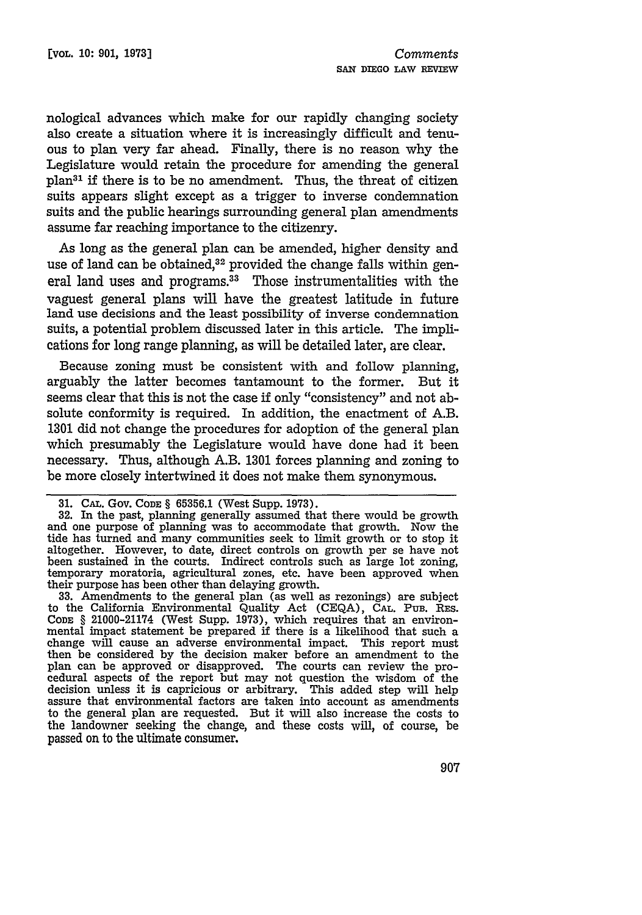nological advances which make for our rapidly changing society also create a situation where it is increasingly difficult and tenuous to plan very far ahead. Finally, there is no reason why the Legislature would retain the procedure for amending the general plan31 if there is to be no amendment. Thus, the threat of citizen suits appears slight except as a trigger to inverse condemnation suits and the public hearings surrounding general plan amendments assume far reaching importance to the citizenry.

As long as the general plan can be amended, higher density and use of land can be obtained,<sup>32</sup> provided the change falls within general land uses and programs.<sup>33</sup> Those instrumentalities with the vaguest general plans will have the greatest latitude in future land use decisions and the least possibility of inverse condemnation suits, a potential problem discussed later in this article. The implications for long range planning, as will be detailed later, are clear.

Because zoning must be consistent with and follow planning, arguably the latter becomes tantamount to the former. But it seems clear that this is not the case if only "consistency" and not absolute conformity is required. In addition, the enactment of A.B. 1301 did not change the procedures for adoption of the general plan which presumably the Legislature would have done had it been necessary. Thus, although A.B. 1301 forces planning and zoning to be more closely intertwined it does not make them synonymous.

32. In the past, planning generally assumed that there would be growth and one purpose of planning was to accommodate that growth. Now the tide has turned and many communities seek to limit growth or to stop it altogether. However, to date, direct controls on growth per se have not been sustained in the courts. Indirect controls such as large lot zoning, temporary moratoria, agricultural zones, etc. have been approved when their purpose has been other than delaying growth.

**33.** Amendments to the general plan (as well as rezonings) are subject to the California Environmental Quality Act **(CEQA), CAL.** PuB. RES. **CODE** § 21000-21174 (West Supp. **1973),** which requires that an environmental impact statement be prepared if there is a likelihood that such a change will cause an adverse environmental impact. This report must then be considered **by** the decision maker before an amendment to the plan can be approved or disapproved. The courts can review the procedural aspects of the report but may not question the wisdom of the decision unless it is capricious or arbitrary. This added step **will** help assure that environmental factors are taken into account as amendments to the general plan are requested. But it will also increase the costs to the landowner seeking the change, and these costs will, of course, be passed on to the ultimate consumer.

<sup>31.</sup> **CAL.** Gov. **CODE** § 65356.1 (West Supp. 1973).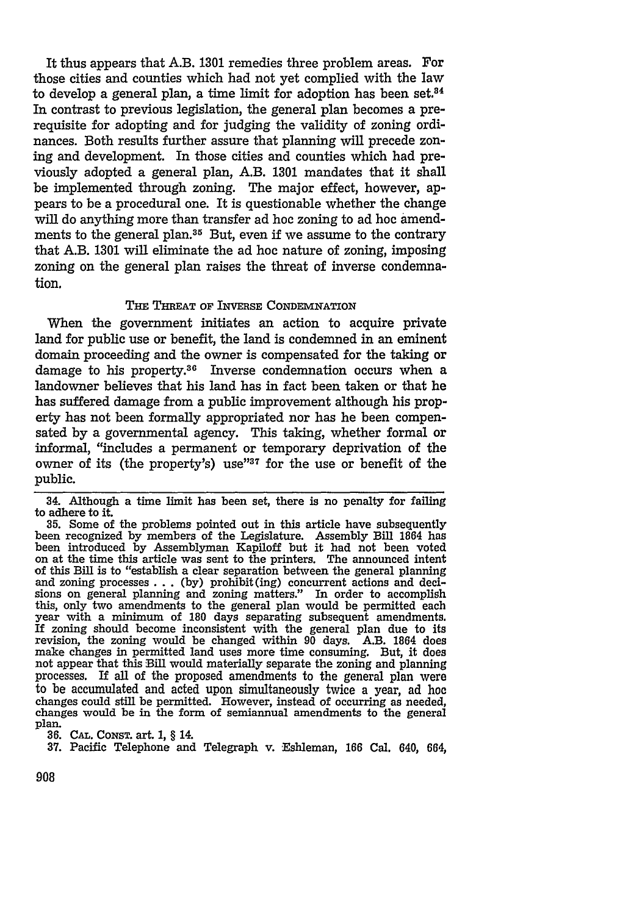It thus appears that A.B. **1301** remedies three problem areas. For those cities and counties which had not yet complied with the law to develop a general plan, a time limit for adoption has been set. $34$ In contrast to previous legislation, the general plan becomes a prerequisite for adopting and for judging the validity of zoning ordinances. Both results further assure that planning will precede zoning and development. In those cities and counties which had previously adopted a general plan, A.B. **1301** mandates that it shall be implemented through zoning. The major effect, however, appears to be a procedural one. It is questionable whether the change will do anything more than transfer ad hoc zoning to ad hoc amendments to the general plan.<sup>35</sup> But, even if we assume to the contrary that A.B. **1301** will eliminate the ad hoc nature of zoning, imposing zoning on the general plan raises the threat of inverse condemnation.

## **THE THREAT OF INVERSE CONDEMNATION**

When the government initiates an action to acquire private land for public use or benefit, the land is condemned in an eminent domain proceeding and the owner is compensated for the taking or damage to his property.36 Inverse condemnation occurs when a landowner believes that his land has in fact been taken or that he has suffered damage from a public improvement although his property has not been formally appropriated nor has he been compensated **by** a governmental agency. This taking, whether formal or informal, "includes a permanent or temporary deprivation of the owner of its (the property's) use"37 for the use or benefit of the public.

34. Although a time limit has been set, there is no penalty for failing to adhere to it.<br>35. Some of the problems pointed out in this article have subsequently

been recognized by members of the Legislature. Assembly Bill 1864 has been introduced **by** Assemblyman Kapiloff but it had not been voted on at the time this article was sent to the printers. The announced intent of this Bill is to "establish a clear separation between the general planning of this Bill is to "establish a clear separation between the general planning and zoning processes **.. . (by)** prohibit (ing) concurrent actions and decisions on general planning and zoning matters." In order to accomplish this, only two amendments to the general plan would be permitted each this, only two amendments to the general plan would be permitted each year with a minimum of 180 days separating subsequent amendments. **If** zoning should become inconsistent with the general plan due to its revision, the zoning would be changed within **90** days. A.B. 1864 does make changes in permitted land uses more time consuming. But, it does not appear that this Bill would materially separate the zoning and planning processes. If all of the proposed amendments to the general plan were to be accumulated and acted upon simultaneously twice a year, ad hoc changes could still be permitted. However, instead of occurring as needed, changes would be in the form of semiannual amendments to the general plan.

**36. CAL.** CoNST. art. 1, § 14.

**37.** Pacific Telephone and Telegraph v. Eshieman, **166** Cal. 640, 664,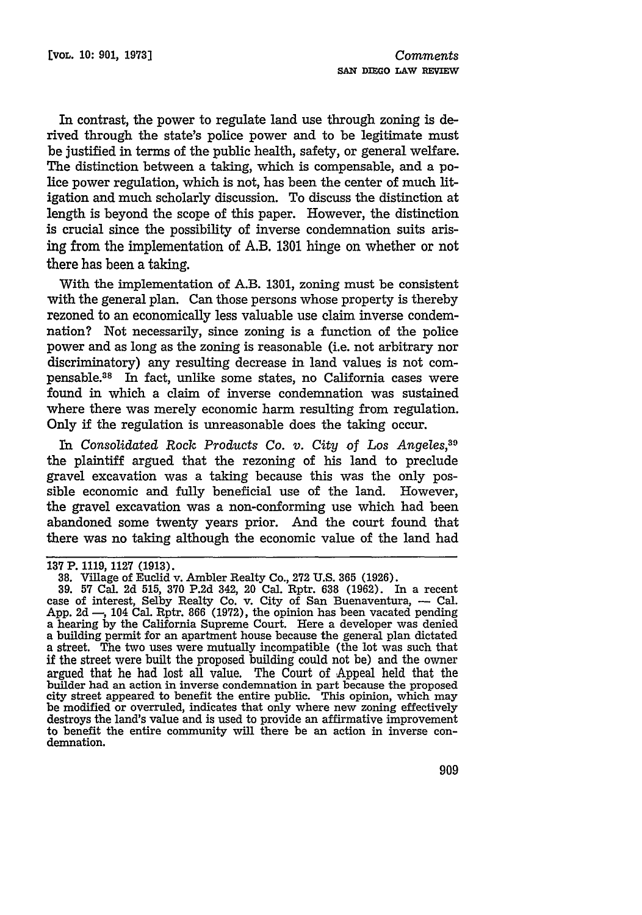In contrast, the power to regulate land use through zoning is derived through the state's police power and to be legitimate must be justified in terms of the public health, safety, or general welfare. The distinction between a taking, which is compensable, and a police power regulation, which is not, has been the center of much litigation and much scholarly discussion. To discuss the distinction at length is beyond the scope of this paper. However, the distinction is crucial since the possibility of inverse condemnation suits arising from the implementation of A.B. 1301 hinge on whether or not there has been a taking.

With the implementation of A.B. **1301,** zoning must be consistent with the general plan. Can those persons whose property is thereby rezoned to an economically less valuable use claim inverse condemnation? Not necessarily, since zoning is a function of the police power and as long as the zoning is reasonable (i.e. not arbitrary nor discriminatory) any resulting decrease in land values is not compensable.38 In fact, unlike some states, no California cases were found in which a claim of inverse condemnation was sustained where there was merely economic harm resulting from regulation. Only if the regulation is unreasonable does the taking occur.

*In Consolidated Rock Products Co. v. City of Los Angeles,"9* the plaintiff argued that the rezoning of his land to preclude gravel excavation was a taking because this was the only possible economic and fully beneficial use of the land. However, the gravel excavation was a non-conforming use which had been abandoned some twenty years prior. And the court found that there was no taking although the economic value of the land had

**<sup>137</sup>** P. 1119, 1127 (1913).

**<sup>38.</sup>** Village of Euclid v. Ambler Realty Co., 272 U.S. **365** (1926).

**<sup>39.</sup>** 57 Cal. 2d 515, 370 P.2d 342, 20 Cal. Rptr. **638** (1962). In a recent case of interest, Selby Realty Co. v. City of San Buenaventura, - Cal. App. 2d  $-$ , 104 Cal. Rptr. 866 (1972), the opinion has been vacated pending a hearing by the California Supreme Court. Here a developer was denied a building permit for an apartment house because the general plan dictated a street. The two uses were mutually incompatible (the lot was such that if the street were built the proposed building could not be) and the owner argued that he had lost all value. The Court of Appeal held that the builder had an action in inverse condemnation in part because the proposed city street appeared to benefit the entire public. This opinion, which may be modified or overruled, indicates that only where new zoning effectively be modified or overruled, indicates that only where new zoning effectively destroys the land's value and is used to provide an affirmative improvement to benefit the entire community will there be an action in inverse condemnation.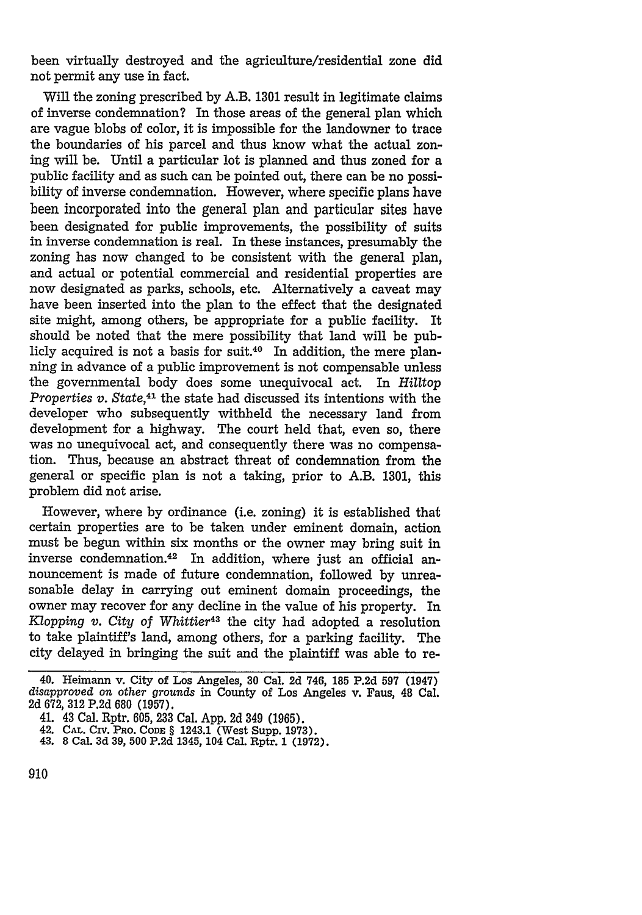been virtually destroyed and the agriculture/residential zone did not permit any use in fact.

Will the zoning prescribed by A.B. 1301 result in legitimate claims of inverse condemnation? In those areas of the general plan which are vague blobs of color, it is impossible for the landowner to trace the boundaries of his parcel and thus know what the actual zoning will be. Until a particular lot is planned and thus zoned for a public facility and as such can be pointed out, there can be no possibility of inverse condemnation. However, where specific plans have been incorporated into the general plan and particular sites have been designated for public improvements, the possibility of suits in inverse condemnation is real. In these instances, presumably the zoning has now changed to be consistent with the general plan, and actual or potential commercial and residential properties are now designated as parks, schools, etc. Alternatively a caveat may have been inserted into the plan to the effect that the designated site might, among others, be appropriate for a public facility. It should be noted that the mere possibility that land will be publicly acquired is not a basis for suit.40 In addition, the mere planning in advance of a public improvement is not compensable unless the governmental body does some unequivocal act. In Hilltop *Properties v. State,41* the state had discussed its intentions with the developer who subsequently withheld the necessary land from development for a highway. The court held that, even so, there was no unequivocal act, and consequently there was no compensation. Thus, because an abstract threat of condemnation from the general or specific plan is not a taking, prior to A.B. 1301, this problem did not arise.

However, where by ordinance (i.e. zoning) it is established that certain properties are to be taken under eminent domain, action must be begun within six months or the owner may bring suit in inverse condemnation.42 In addition, where just an official announcement is made of future condemnation, followed by unreasonable delay in carrying out eminent domain proceedings, the owner may recover for any decline in the value of his property. In *Kopping v. City of Whittier43* the city had adopted a resolution to take plaintiff's land, among others, for a parking facility. The city delayed in bringing the suit and the plaintiff was able to re-

<sup>40.</sup> Heimann v. City of Los Angeles, 30 Cal. 2d 746, 185 P.2d **597** (1947) *disapproved on other grounds* in County of Los Angeles v. Faus, 48 Cal. 2d 672, **312** P.2d 680 (1957).

<sup>41. 43</sup> Cal. Rptr. 605, 233 Cal. App. 2d 349 (1965).

<sup>42.</sup> CAL. CIV. PRO. CODE § 1243.1 (West Supp. 1973).

<sup>43. 8</sup> Cal. 3d **39, 500** P.2d 1345, 104 Cal. Rptr. **1** (1972).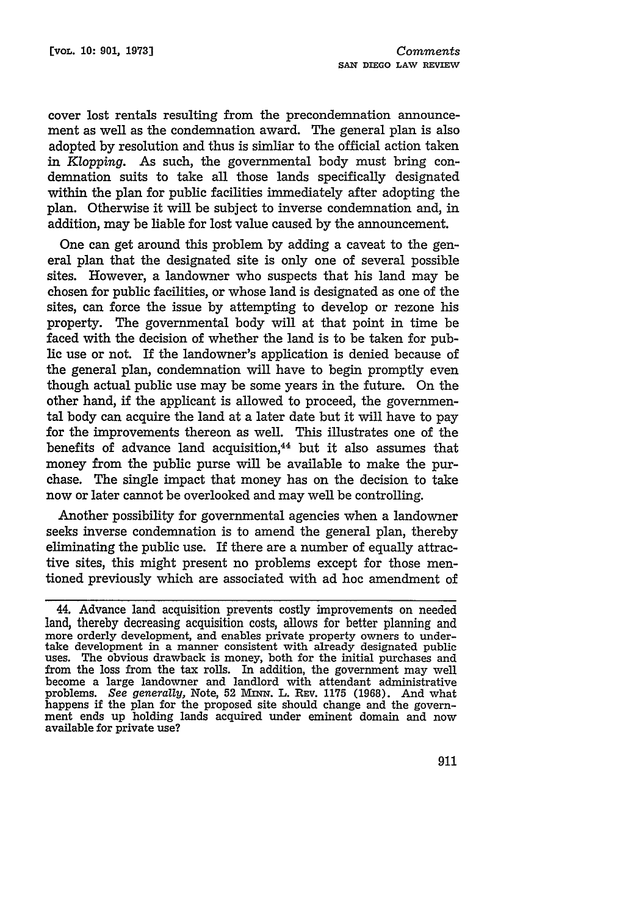cover lost rentals resulting from the precondemnation announcement as well as the condemnation award. The general plan is also adopted **by** resolution and thus is simliar to the official action taken in *Klopping.* As such, the governmental body must bring condemnation suits to take all those lands specifically designated within the plan for public facilities immediately after adopting the plan. Otherwise it will be subject to inverse condemnation and, in addition, may be liable for lost value caused **by** the announcement.

One can get around this problem **by** adding a caveat to the general plan that the designated site is only one of several possible sites. However, a landowner who suspects that his land may be chosen for public facilities, or whose land is designated as one of the sites, can force the issue **by** attempting to develop or rezone his property. The governmental body will at that point in time be faced with the decision of whether the land is to be taken for public use or not. If the landowner's application is denied because of the general plan, condemnation will have to begin promptly even though actual public use may be some years in the future. On the other hand, if the applicant is allowed to proceed, the governmental body can acquire the land at a later date but it will have to pay for the improvements thereon as well. This illustrates one of the benefits of advance land acquisition,<sup>44</sup> but it also assumes that money from the public purse will be available to make the purchase. The single impact that money has on the decision to take now or later cannot be overlooked and may well be controlling.

Another possibility for governmental agencies when a landowner seeks inverse condemnation is to amend the general plan, thereby eliminating the public use. If there are a number of equally attractive sites, this might present no problems except for those mentioned previously which are associated with ad hoc amendment of

<sup>44.</sup> Advance land acquisition prevents costly improvements on needed land, thereby decreasing acquisition costs, allows for better planning and more orderly development, and enables private property owners to undertake development in a manner consistent with already designated public uses. The obvious drawback is money, both for the initial purchases and from the loss from the tax rolls. In addition, the government may well become a large landowner and landlord with attendant administrative problems. See generally, Note, 52 MINN. L. REV. 1175 (1968). And what happens if the plan for the proposed site should change and the government ends up holding lands acquired under eminent domain and now available for private use?